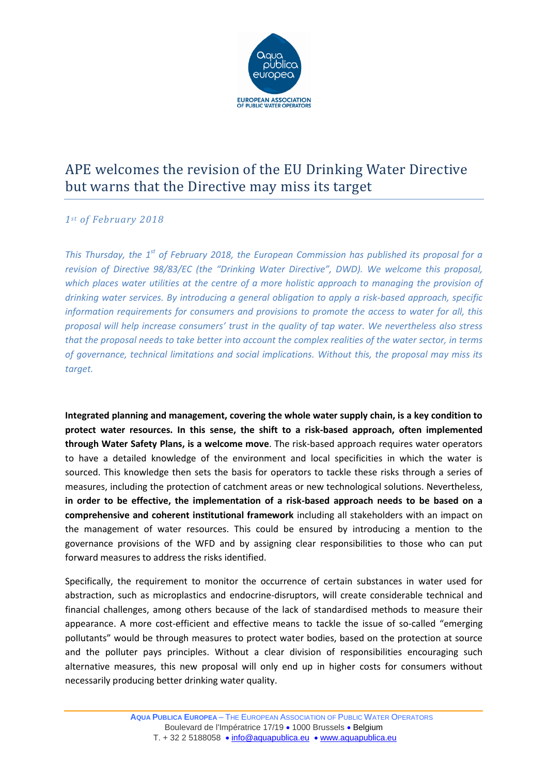

## APE welcomes the revision of the EU Drinking Water Directive but warns that the Directive may miss its target

## *1st of February 2018*

*This Thursday, the 1st of February 2018, the European Commission has published its proposal for a revision of Directive 98/83/EC (the "Drinking Water Directive", DWD). We welcome this proposal, which places water utilities at the centre of a more holistic approach to managing the provision of drinking water services. By introducing a general obligation to apply a risk-based approach, specific information requirements for consumers and provisions to promote the access to water for all, this proposal will help increase consumers' trust in the quality of tap water. We nevertheless also stress that the proposal needs to take better into account the complex realities of the water sector, in terms of governance, technical limitations and social implications. Without this, the proposal may miss its target.*

**Integrated planning and management, covering the whole water supply chain, is a key condition to protect water resources. In this sense, the shift to a risk-based approach, often implemented through Water Safety Plans, is a welcome move**. The risk-based approach requires water operators to have a detailed knowledge of the environment and local specificities in which the water is sourced. This knowledge then sets the basis for operators to tackle these risks through a series of measures, including the protection of catchment areas or new technological solutions. Nevertheless, **in order to be effective, the implementation of a risk-based approach needs to be based on a comprehensive and coherent institutional framework** including all stakeholders with an impact on the management of water resources. This could be ensured by introducing a mention to the governance provisions of the WFD and by assigning clear responsibilities to those who can put forward measures to address the risks identified.

Specifically, the requirement to monitor the occurrence of certain substances in water used for abstraction, such as microplastics and endocrine-disruptors, will create considerable technical and financial challenges, among others because of the lack of standardised methods to measure their appearance. A more cost-efficient and effective means to tackle the issue of so-called "emerging pollutants" would be through measures to protect water bodies, based on the protection at source and the polluter pays principles. Without a clear division of responsibilities encouraging such alternative measures, this new proposal will only end up in higher costs for consumers without necessarily producing better drinking water quality.